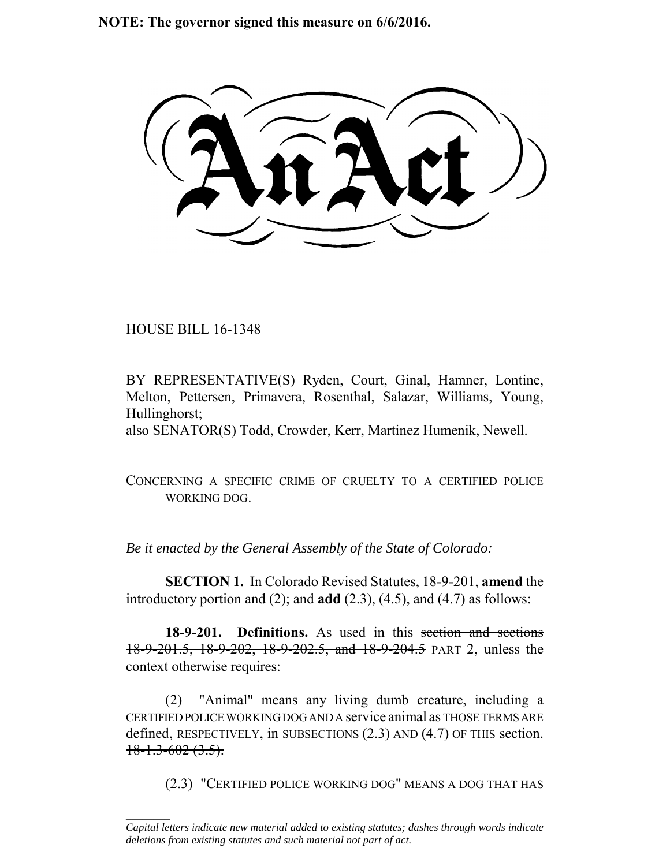**NOTE: The governor signed this measure on 6/6/2016.**

HOUSE BILL 16-1348

 $\frac{1}{2}$ 

BY REPRESENTATIVE(S) Ryden, Court, Ginal, Hamner, Lontine, Melton, Pettersen, Primavera, Rosenthal, Salazar, Williams, Young, Hullinghorst;

also SENATOR(S) Todd, Crowder, Kerr, Martinez Humenik, Newell.

CONCERNING A SPECIFIC CRIME OF CRUELTY TO A CERTIFIED POLICE WORKING DOG.

*Be it enacted by the General Assembly of the State of Colorado:*

**SECTION 1.** In Colorado Revised Statutes, 18-9-201, **amend** the introductory portion and (2); and **add** (2.3), (4.5), and (4.7) as follows:

18-9-201. Definitions. As used in this section and sections 18-9-201.5, 18-9-202, 18-9-202.5, and 18-9-204.5 PART 2, unless the context otherwise requires:

(2) "Animal" means any living dumb creature, including a CERTIFIED POLICE WORKING DOG AND A service animal as THOSE TERMS ARE defined, RESPECTIVELY, in SUBSECTIONS (2.3) AND (4.7) OF THIS section.  $18-1.3-602(3.5)$ .

(2.3) "CERTIFIED POLICE WORKING DOG" MEANS A DOG THAT HAS

*Capital letters indicate new material added to existing statutes; dashes through words indicate deletions from existing statutes and such material not part of act.*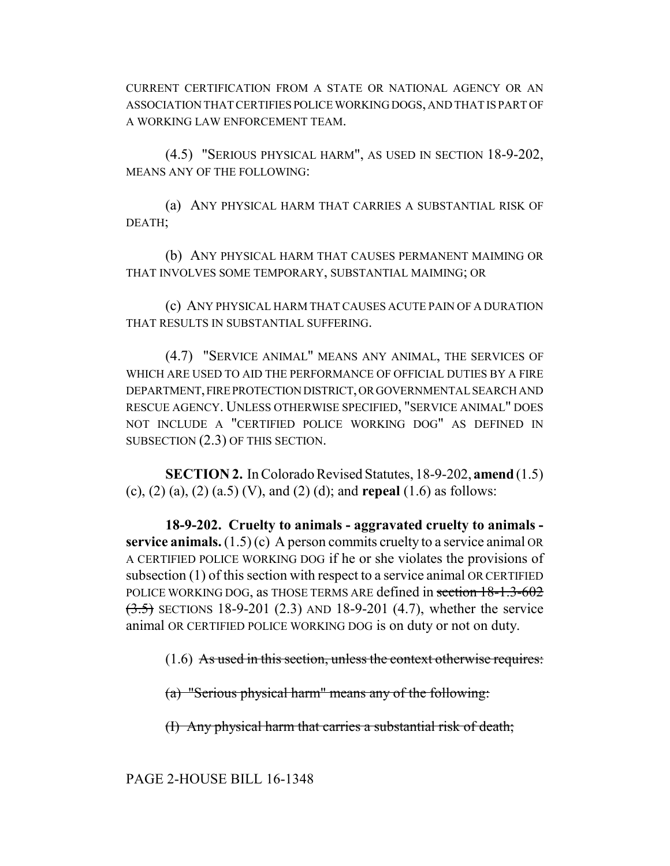CURRENT CERTIFICATION FROM A STATE OR NATIONAL AGENCY OR AN ASSOCIATION THAT CERTIFIES POLICE WORKING DOGS, AND THAT IS PART OF A WORKING LAW ENFORCEMENT TEAM.

(4.5) "SERIOUS PHYSICAL HARM", AS USED IN SECTION 18-9-202, MEANS ANY OF THE FOLLOWING:

(a) ANY PHYSICAL HARM THAT CARRIES A SUBSTANTIAL RISK OF DEATH;

(b) ANY PHYSICAL HARM THAT CAUSES PERMANENT MAIMING OR THAT INVOLVES SOME TEMPORARY, SUBSTANTIAL MAIMING; OR

(c) ANY PHYSICAL HARM THAT CAUSES ACUTE PAIN OF A DURATION THAT RESULTS IN SUBSTANTIAL SUFFERING.

(4.7) "SERVICE ANIMAL" MEANS ANY ANIMAL, THE SERVICES OF WHICH ARE USED TO AID THE PERFORMANCE OF OFFICIAL DUTIES BY A FIRE DEPARTMENT, FIRE PROTECTION DISTRICT, OR GOVERNMENTAL SEARCH AND RESCUE AGENCY. UNLESS OTHERWISE SPECIFIED, "SERVICE ANIMAL" DOES NOT INCLUDE A "CERTIFIED POLICE WORKING DOG" AS DEFINED IN SUBSECTION (2.3) OF THIS SECTION.

**SECTION 2.** In Colorado Revised Statutes, 18-9-202, **amend** (1.5) (c), (2) (a), (2) (a.5) (V), and (2) (d); and **repeal** (1.6) as follows:

**18-9-202. Cruelty to animals - aggravated cruelty to animals service animals.**  $(1.5)(c)$  A person commits cruelty to a service animal OR A CERTIFIED POLICE WORKING DOG if he or she violates the provisions of subsection (1) of this section with respect to a service animal OR CERTIFIED POLICE WORKING DOG, as THOSE TERMS ARE defined in section 18-1.3-602  $(3.5)$  SECTIONS 18-9-201 (2.3) AND 18-9-201 (4.7), whether the service animal OR CERTIFIED POLICE WORKING DOG is on duty or not on duty.

 $(1.6)$  As used in this section, unless the context otherwise requires:

(a) "Serious physical harm" means any of the following:

(I) Any physical harm that carries a substantial risk of death;

PAGE 2-HOUSE BILL 16-1348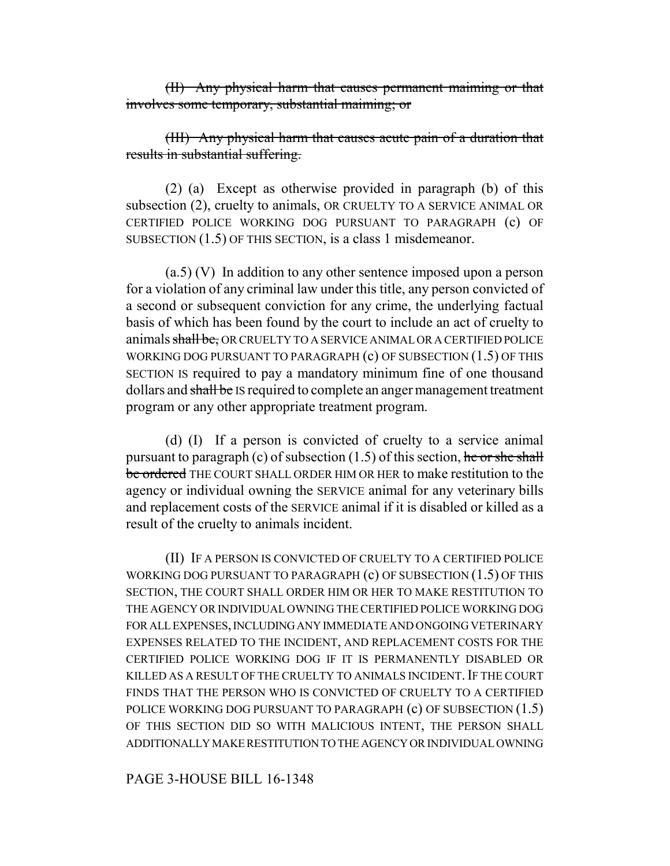(II) Any physical harm that causes permanent maiming or that involves some temporary, substantial maiming; or

(III) Any physical harm that causes acute pain of a duration that results in substantial suffering.

(2) (a) Except as otherwise provided in paragraph (b) of this subsection (2), cruelty to animals, OR CRUELTY TO A SERVICE ANIMAL OR CERTIFIED POLICE WORKING DOG PURSUANT TO PARAGRAPH (c) OF SUBSECTION (1.5) OF THIS SECTION, is a class 1 misdemeanor.

(a.5) (V) In addition to any other sentence imposed upon a person for a violation of any criminal law under this title, any person convicted of a second or subsequent conviction for any crime, the underlying factual basis of which has been found by the court to include an act of cruelty to animals shall be, OR CRUELTY TO A SERVICE ANIMAL OR A CERTIFIED POLICE WORKING DOG PURSUANT TO PARAGRAPH (c) OF SUBSECTION (1.5) OF THIS SECTION IS required to pay a mandatory minimum fine of one thousand dollars and shall be IS required to complete an anger management treatment program or any other appropriate treatment program.

(d) (I) If a person is convicted of cruelty to a service animal pursuant to paragraph (c) of subsection  $(1.5)$  of this section, he or she shall be ordered THE COURT SHALL ORDER HIM OR HER to make restitution to the agency or individual owning the SERVICE animal for any veterinary bills and replacement costs of the SERVICE animal if it is disabled or killed as a result of the cruelty to animals incident.

(II) IF A PERSON IS CONVICTED OF CRUELTY TO A CERTIFIED POLICE WORKING DOG PURSUANT TO PARAGRAPH (c) OF SUBSECTION (1.5) OF THIS SECTION, THE COURT SHALL ORDER HIM OR HER TO MAKE RESTITUTION TO THE AGENCY OR INDIVIDUAL OWNING THE CERTIFIED POLICE WORKING DOG FOR ALL EXPENSES, INCLUDING ANY IMMEDIATE AND ONGOING VETERINARY EXPENSES RELATED TO THE INCIDENT, AND REPLACEMENT COSTS FOR THE CERTIFIED POLICE WORKING DOG IF IT IS PERMANENTLY DISABLED OR KILLED AS A RESULT OF THE CRUELTY TO ANIMALS INCIDENT. IF THE COURT FINDS THAT THE PERSON WHO IS CONVICTED OF CRUELTY TO A CERTIFIED POLICE WORKING DOG PURSUANT TO PARAGRAPH (c) OF SUBSECTION (1.5) OF THIS SECTION DID SO WITH MALICIOUS INTENT, THE PERSON SHALL ADDITIONALLY MAKE RESTITUTION TO THE AGENCY OR INDIVIDUAL OWNING

PAGE 3-HOUSE BILL 16-1348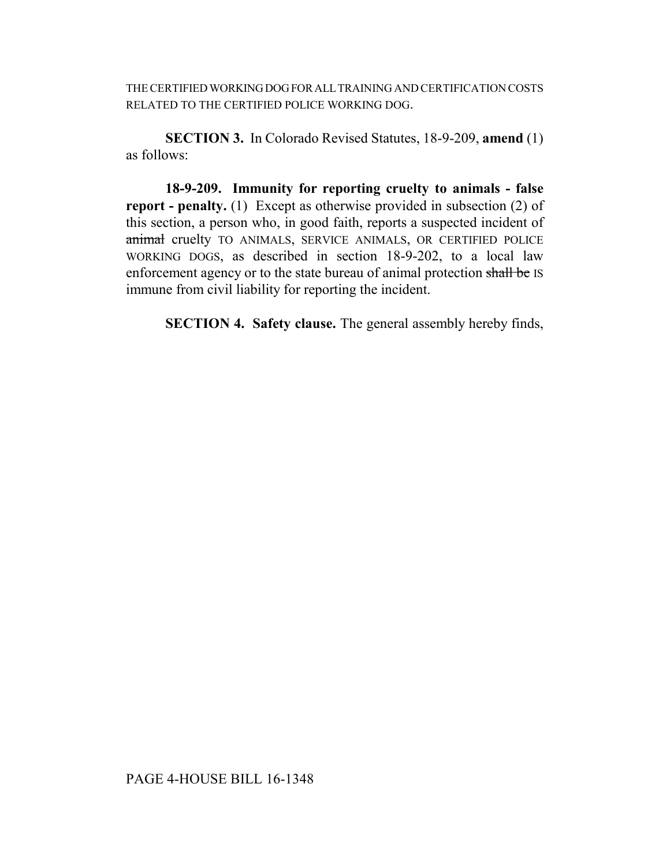THE CERTIFIED WORKING DOG FOR ALL TRAINING AND CERTIFICATION COSTS RELATED TO THE CERTIFIED POLICE WORKING DOG.

**SECTION 3.** In Colorado Revised Statutes, 18-9-209, **amend** (1) as follows:

**18-9-209. Immunity for reporting cruelty to animals - false report - penalty.** (1) Except as otherwise provided in subsection (2) of this section, a person who, in good faith, reports a suspected incident of animal cruelty TO ANIMALS, SERVICE ANIMALS, OR CERTIFIED POLICE WORKING DOGS, as described in section 18-9-202, to a local law enforcement agency or to the state bureau of animal protection shall be IS immune from civil liability for reporting the incident.

**SECTION 4. Safety clause.** The general assembly hereby finds,